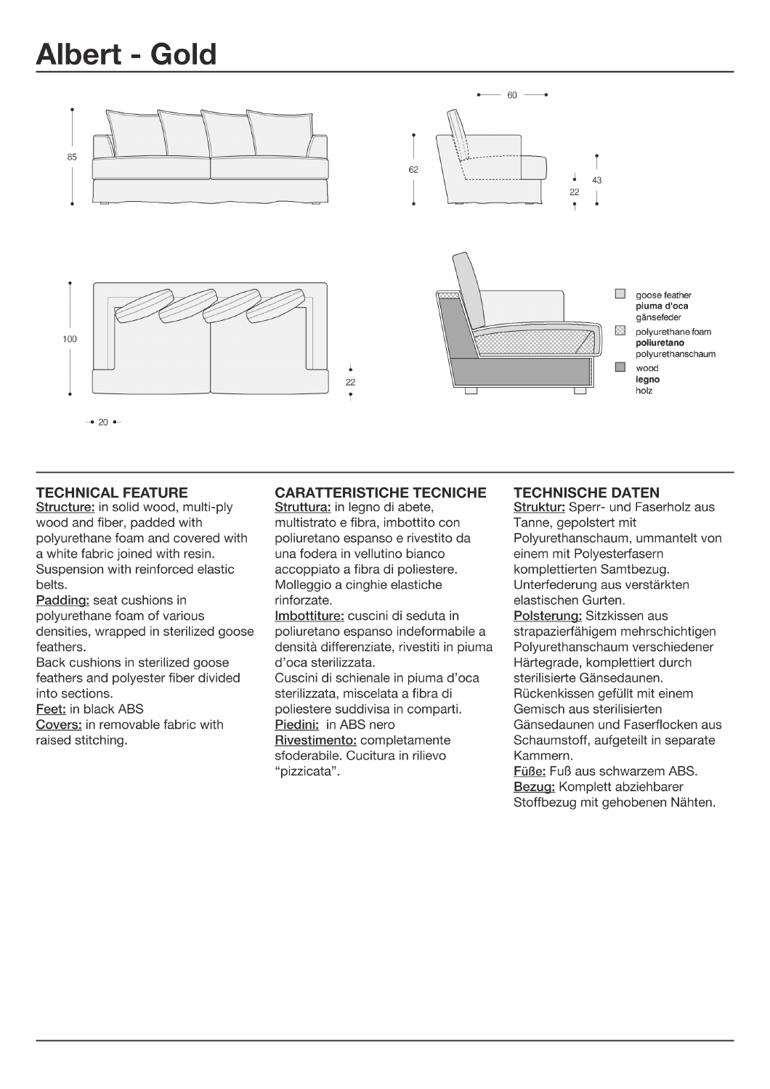## **Albert - Gold**



## **TECHNICAL FEATURE**

Structure: in solid wood, multi-ply wood and fiber, padded with polyurethane foam and covered with a white fabric joined with resin. Suspension with reinforced elastic belts.

Padding: seat cushions in polyurethane foam of various densities, wrapped in sterilized goose feathers.

Back cushions in sterilized goose feathers and polvester fiber divided into sections.

Feet: in black ABS

Covers: in removable fabric with raised stitching.

## **CARATTERISTICHE TECNICHE**

Struttura: in legno di abete, multistrato e fibra, imbottito con poliuretano espanso e rivestito da una fodera in vellutino bianco accoppiato a fibra di poliestere. Molleggio a cinghie elastiche rinforzate.

Imbottiture: cuscini di seduta in poliuretano espanso indeformabile a densità differenziate, rivestiti in piuma d'oca sterilizzata.

Cuscini di schienale in piuma d'oca sterilizzata, miscelata a fibra di poliestere suddivisa in comparti. Piedini: in ABS nero Rivestimento: completamente sfoderabile. Cucitura in rilievo "pizzicata".

## **TECHNISCHE DATEN**

Struktur: Sperr- und Faserholz aus Tanne, gepolstert mit Polyurethanschaum, ummantelt von einem mit Polyesterfasern komplettierten Samtbezug. Unterfederung aus verstärkten elastischen Gurten. Polsterung: Sitzkissen aus strapazierfähigem mehrschichtigen Polyurethanschaum verschiedener Härtegrade, komplettiert durch sterilisierte Gänsedaunen. Rückenkissen gefüllt mit einem Gemisch aus sterilisierten Gänsedaunen und Faserflocken aus Schaumstoff, aufgeteilt in separate Kammern.

Füße: Fuß aus schwarzem ABS. Bezug: Komplett abziehbarer Stoffbezug mit gehobenen Nähten.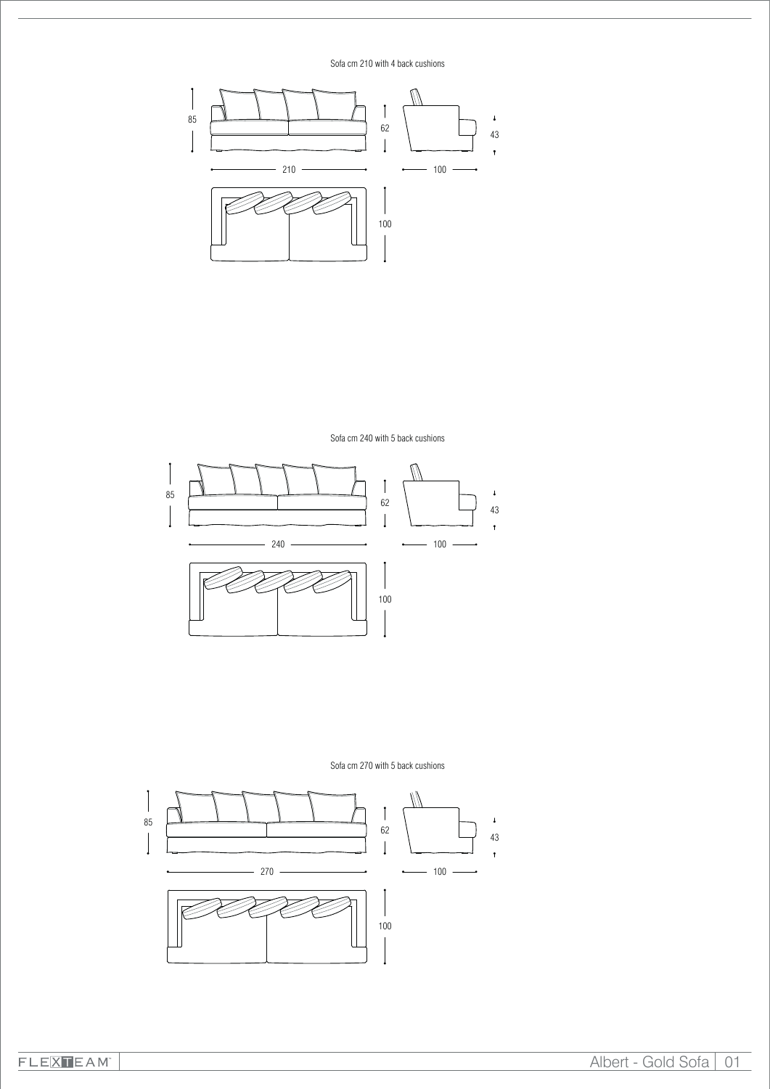

Sofa cm 270 with 5 back cushions



Sofa cm 240 with 5 back cushions

W

 $\overline{a}$ 



Sofa cm 210 with 4 back cushions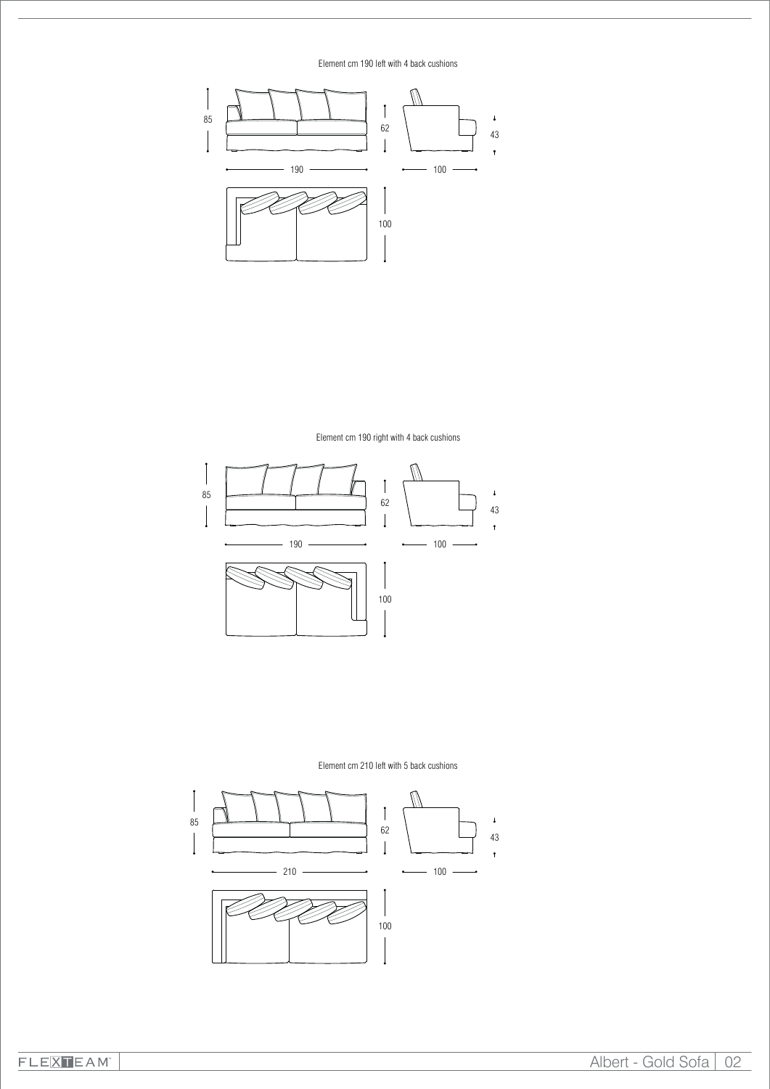Element cm 190 left with 4 back cushions



Element cm 190 right with 4 back cushions



Element cm 210 left with 5 back cushions

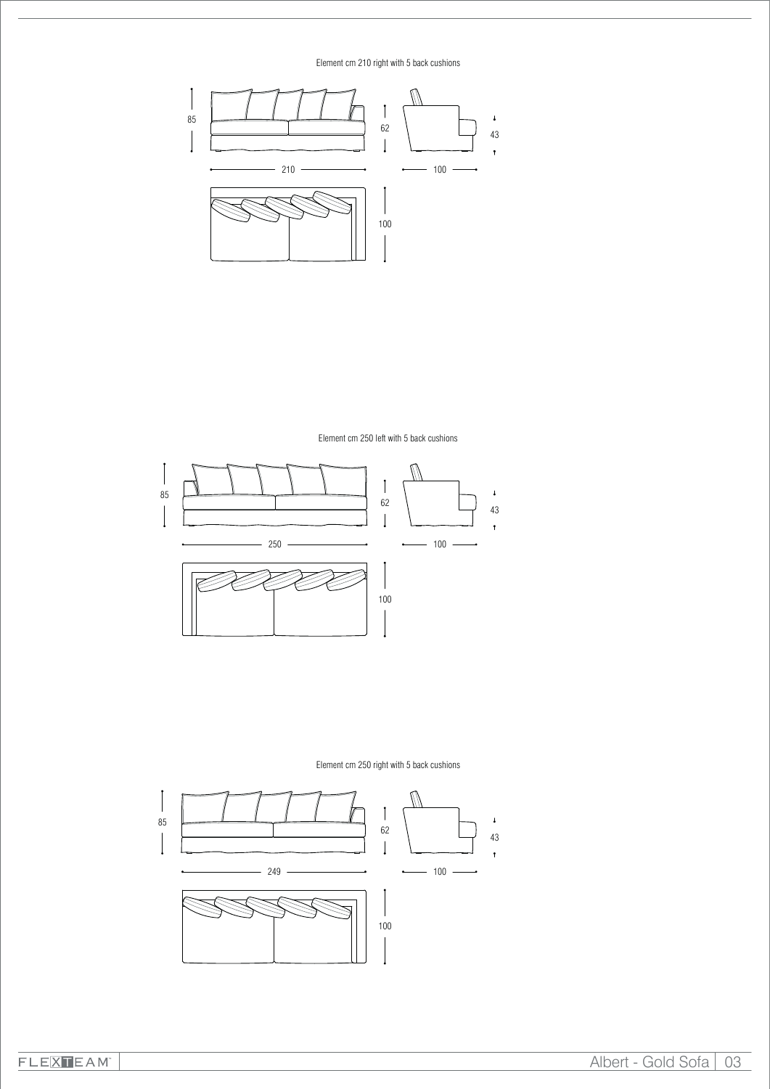Element cm 210 right with 5 back cushions



Element cm 250 left with 5 back cushions



Element cm 250 right with 5 back cushions

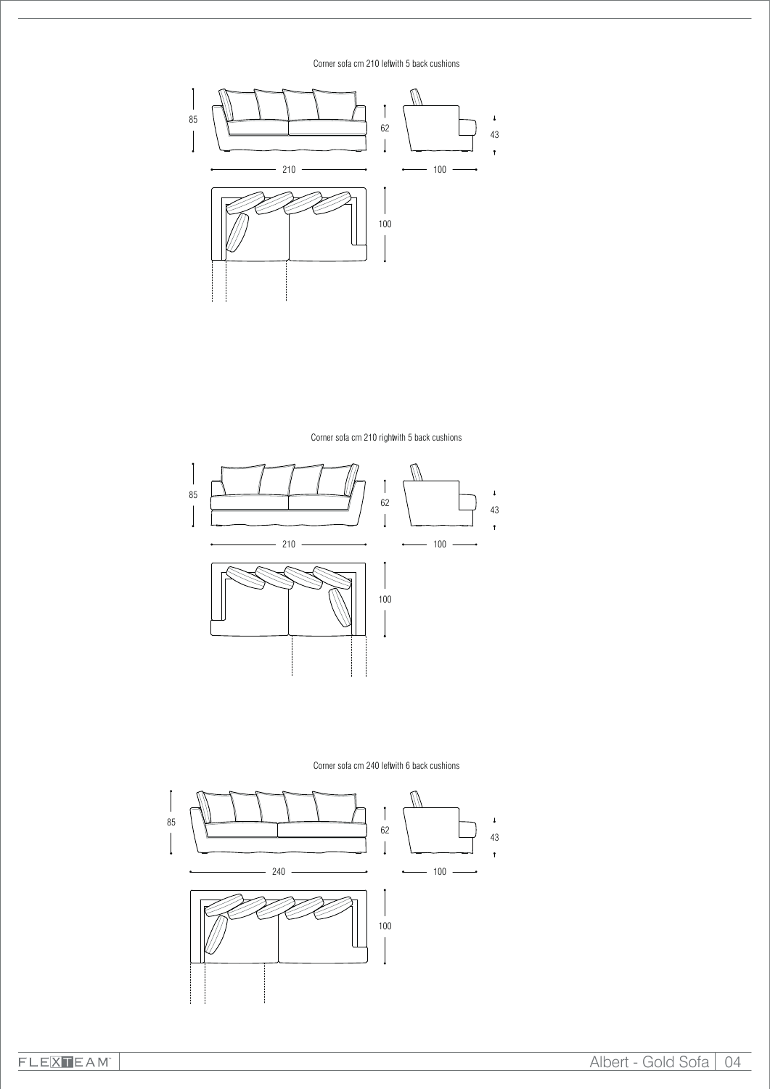Corner sofa cm 210 leftwith 5 back cushions



Corner sofa cm 210 rightwith 5 back cushions





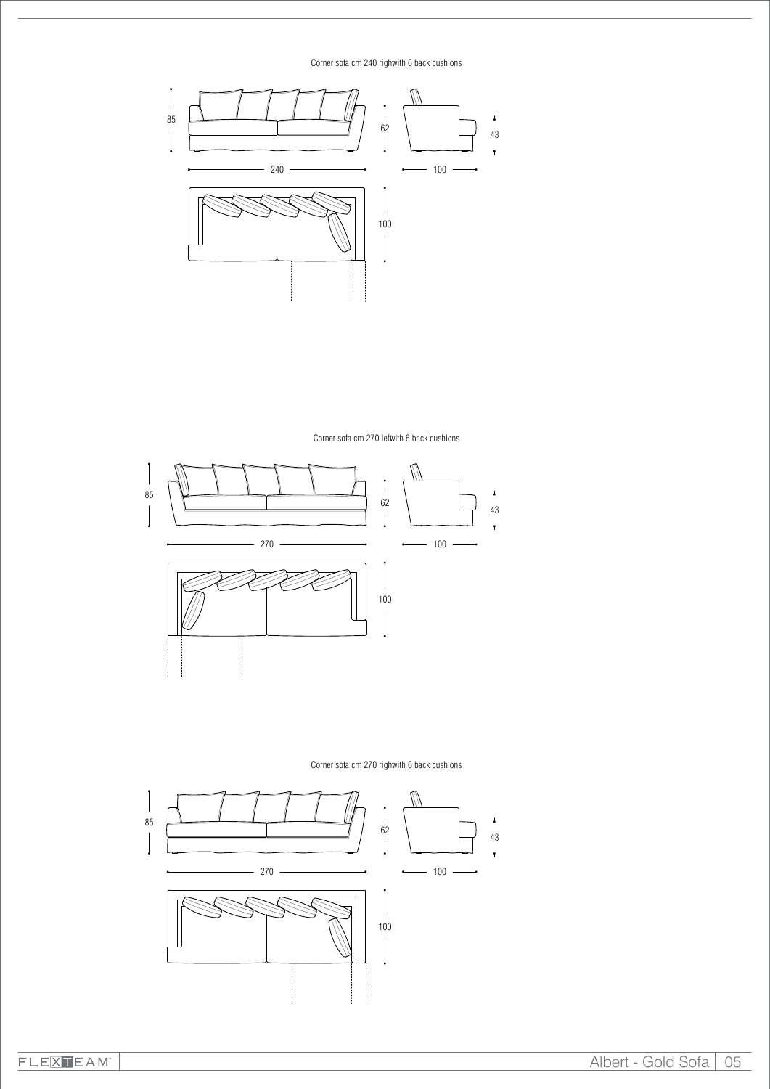Corner sofa cm 240 rightwith 6 back cushions



Corner sofa cm 270 leftwith 6 back cushions



Corner sofa cm 270 rightwith 6 back cushions

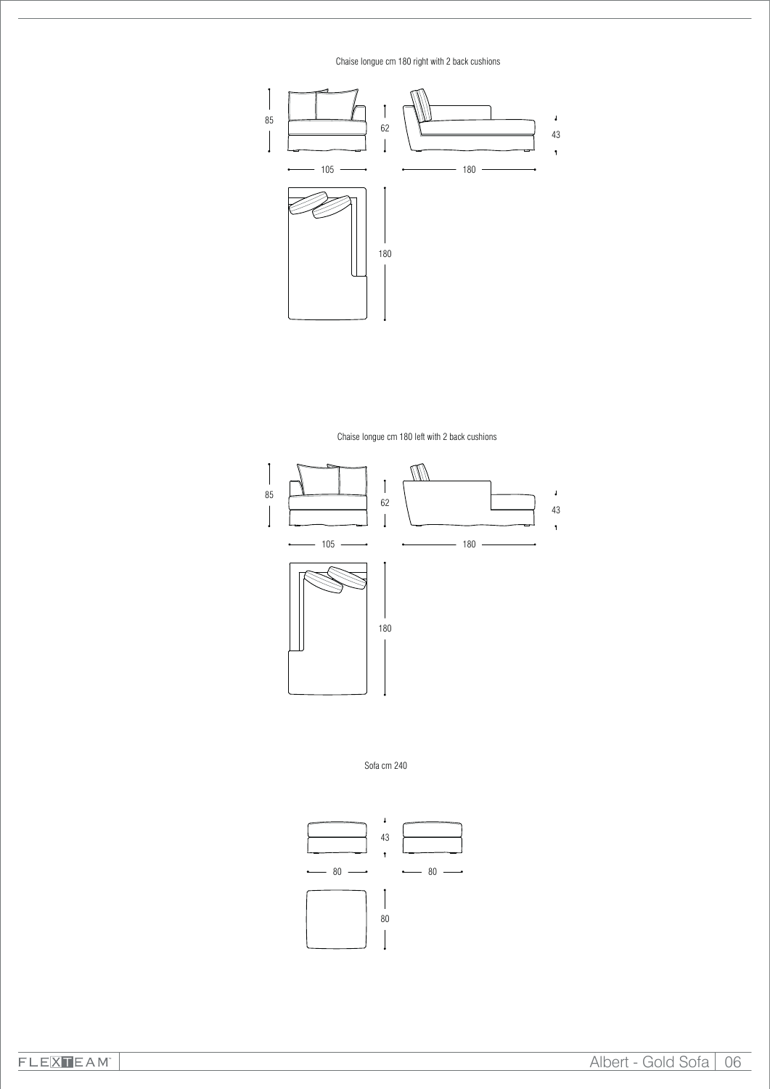Chaise longue cm 180 right with 2 back cushions



Chaise longue cm 180 left with 2 back cushions